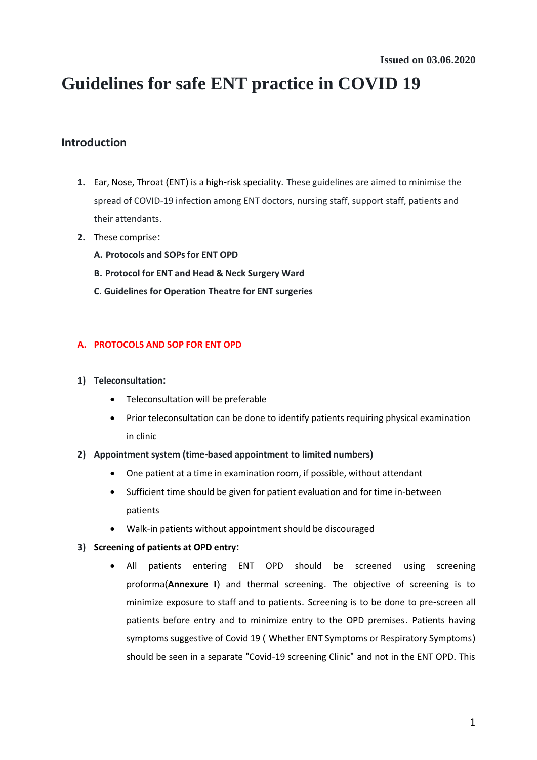# **Guidelines for safe ENT practice in COVID 19**

# **Introduction**

- **1.** Ear, Nose, Throat (ENT) is a high-risk speciality. These guidelines are aimed to minimise the spread of COVID-19 infection among ENT doctors, nursing staff, support staff, patients and their attendants.
- **2.** These comprise**:**
	- **A. Protocols and SOPs for ENT OPD**
	- **B. Protocol for ENT and Head & Neck Surgery Ward**
	- **C. Guidelines for Operation Theatre for ENT surgeries**

# **A. PROTOCOLS AND SOP FOR ENT OPD**

- **1) Teleconsultation:** 
	- Teleconsultation will be preferable
	- Prior teleconsultation can be done to identify patients requiring physical examination in clinic

#### **2) Appointment system (time-based appointment to limited numbers)**

- One patient at a time in examination room, if possible, without attendant
- Sufficient time should be given for patient evaluation and for time in-between patients
- Walk-in patients without appointment should be discouraged
- **3) Screening of patients at OPD entry:** 
	- All patients entering ENT OPD should be screened using screening proforma(**Annexure I**) and thermal screening. The objective of screening is to minimize exposure to staff and to patients. Screening is to be done to pre-screen all patients before entry and to minimize entry to the OPD premises. Patients having symptoms suggestive of Covid 19 ( Whether ENT Symptoms or Respiratory Symptoms) should be seen in a separate "Covid-19 screening Clinic" and not in the ENT OPD. This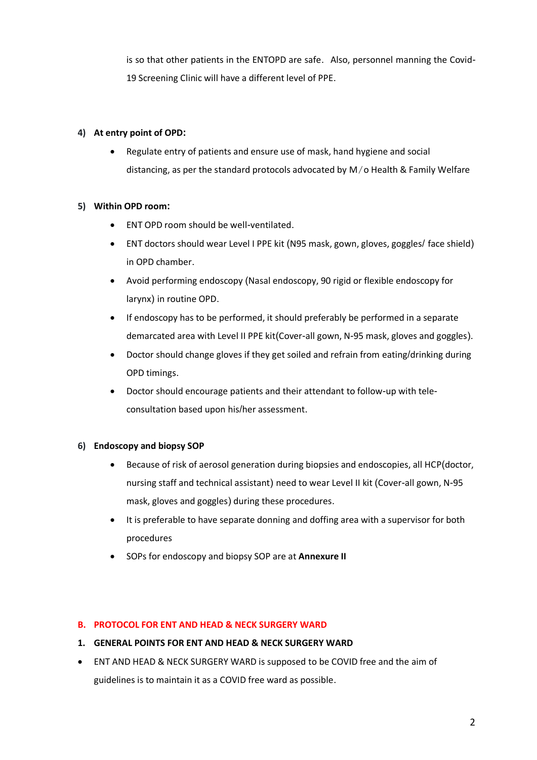is so that other patients in the ENTOPD are safe. Also, personnel manning the Covid-19 Screening Clinic will have a different level of PPE.

#### **4) At entry point of OPD:**

 Regulate entry of patients and ensure use of mask, hand hygiene and social distancing, as per the standard protocols advocated by M/o Health & Family Welfare

## **5) Within OPD room:**

- ENT OPD room should be well-ventilated.
- ENT doctors should wear Level I PPE kit (N95 mask, gown, gloves, goggles/ face shield) in OPD chamber.
- Avoid performing endoscopy (Nasal endoscopy, 90 rigid or flexible endoscopy for larynx) in routine OPD.
- If endoscopy has to be performed, it should preferably be performed in a separate demarcated area with Level II PPE kit(Cover-all gown, N-95 mask, gloves and goggles).
- Doctor should change gloves if they get soiled and refrain from eating/drinking during OPD timings.
- Doctor should encourage patients and their attendant to follow-up with teleconsultation based upon his/her assessment.

# **6) Endoscopy and biopsy SOP**

- Because of risk of aerosol generation during biopsies and endoscopies, all HCP(doctor, nursing staff and technical assistant) need to wear Level II kit (Cover-all gown, N-95 mask, gloves and goggles) during these procedures.
- It is preferable to have separate donning and doffing area with a supervisor for both procedures
- SOPs for endoscopy and biopsy SOP are at **Annexure II**

#### **B. PROTOCOL FOR ENT AND HEAD & NECK SURGERY WARD**

#### **1. GENERAL POINTS FOR ENT AND HEAD & NECK SURGERY WARD**

 ENT AND HEAD & NECK SURGERY WARD is supposed to be COVID free and the aim of guidelines is to maintain it as a COVID free ward as possible.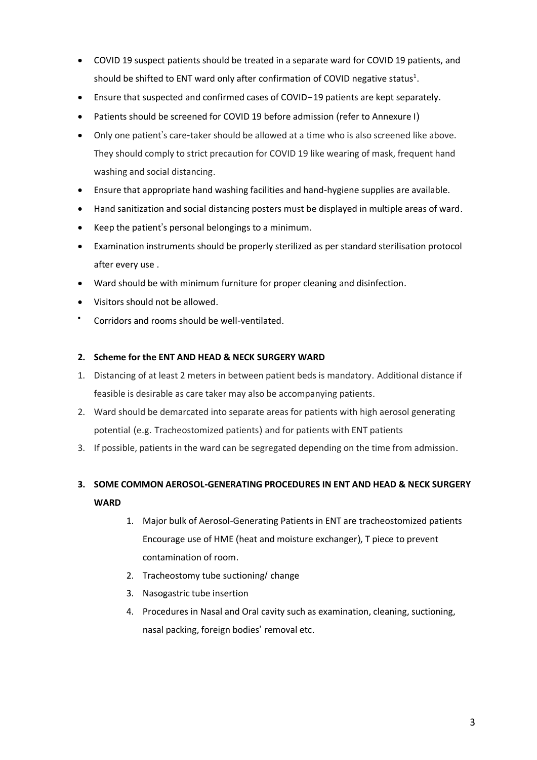- COVID 19 suspect patients should be treated in a separate ward for COVID 19 patients, and should be shifted to ENT ward only after confirmation of COVID negative status<sup>1</sup>.
- Ensure that suspected and confirmed cases of COVID-19 patients are kept separately.
- Patients should be screened for COVID 19 before admission (refer to Annexure I)
- Only one patient's care-taker should be allowed at a time who is also screened like above. They should comply to strict precaution for COVID 19 like wearing of mask, frequent hand washing and social distancing.
- Ensure that appropriate hand washing facilities and hand-hygiene supplies are available.
- Hand sanitization and social distancing posters must be displayed in multiple areas of ward.
- Keep the patient's personal belongings to a minimum.
- Examination instruments should be properly sterilized as per standard sterilisation protocol after every use .
- Ward should be with minimum furniture for proper cleaning and disinfection.
- Visitors should not be allowed.
- $\bullet$ Corridors and rooms should be well-ventilated.

#### **2. Scheme for the ENT AND HEAD & NECK SURGERY WARD**

- 1. Distancing of at least 2 meters in between patient beds is mandatory. Additional distance if feasible is desirable as care taker may also be accompanying patients.
- 2. Ward should be demarcated into separate areas for patients with high aerosol generating potential (e.g. Tracheostomized patients) and for patients with ENT patients
- 3. If possible, patients in the ward can be segregated depending on the time from admission.

# **3. SOME COMMON AEROSOL-GENERATING PROCEDURES IN ENT AND HEAD & NECK SURGERY WARD**

- 1. Major bulk of Aerosol-Generating Patients in ENT are tracheostomized patients Encourage use of HME (heat and moisture exchanger), T piece to prevent contamination of room.
- 2. Tracheostomy tube suctioning/ change
- 3. Nasogastric tube insertion
- 4. Procedures in Nasal and Oral cavity such as examination, cleaning, suctioning, nasal packing, foreign bodies' removal etc.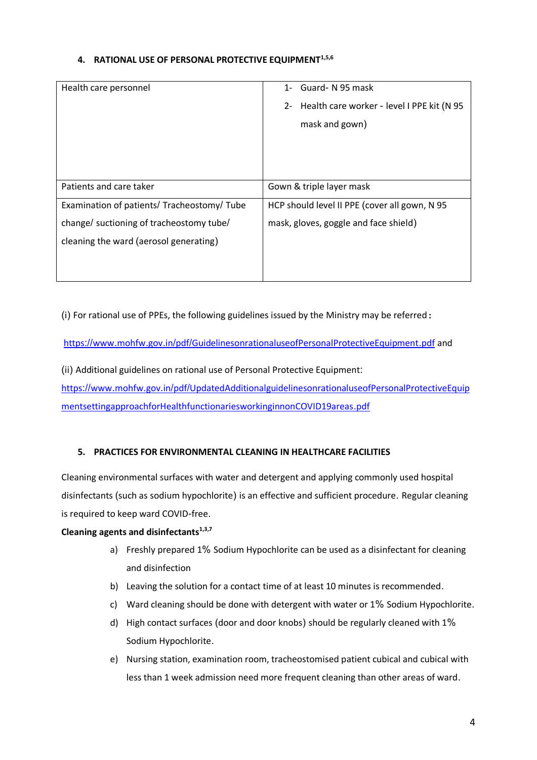#### **4. RATIONAL USE OF PERSONAL PROTECTIVE EQUIPMENT1,5,6**

| Health care personnel                       | 1- Guard-N 95 mask                            |
|---------------------------------------------|-----------------------------------------------|
|                                             | 2- Health care worker - level I PPE kit (N 95 |
|                                             | mask and gown)                                |
|                                             |                                               |
|                                             |                                               |
|                                             |                                               |
| Patients and care taker                     | Gown & triple layer mask                      |
| Examination of patients/ Tracheostomy/ Tube | HCP should level II PPE (cover all gown, N 95 |
| change/ suctioning of tracheostomy tube/    | mask, gloves, goggle and face shield)         |
| cleaning the ward (aerosol generating)      |                                               |
|                                             |                                               |
|                                             |                                               |

(i) For rational use of PPEs, the following guidelines issued by the Ministry may be referred:

https://www.mohfw.gov.in/pdf/[GuidelinesonrationaluseofPersonalProtectiveEquipment](https://www.mohfw.gov.in/pdf/GuidelinesonrationaluseofPersonalProtectiveEquipment.pdf).pdf and

(ii) Additional guidelines on rational use of Personal Protective Equipment: https://www.mohfw.gov.in/pdf/[UpdatedAdditionalguidelinesonrationaluseofPersonalProtectiveEquip](https://www.mohfw.gov.in/pdf/UpdatedAdditionalguidelinesonrationaluseofPersonalProtectiveEquipmentsettingapproachforHealthfunctionariesworkinginnonCOVID19areas.pdf) [mentsettingapproachforHealthfunctionariesworkinginnonCOVID19areas](https://www.mohfw.gov.in/pdf/UpdatedAdditionalguidelinesonrationaluseofPersonalProtectiveEquipmentsettingapproachforHealthfunctionariesworkinginnonCOVID19areas.pdf).pdf

# **5. PRACTICES FOR ENVIRONMENTAL CLEANING IN HEALTHCARE FACILITIES**

Cleaning environmental surfaces with water and detergent and applying commonly used hospital disinfectants (such as sodium hypochlorite) is an effective and sufficient procedure. Regular cleaning is required to keep ward COVID-free.

#### **Cleaning agents and disinfectants1,3,7**

- a) Freshly prepared 1% Sodium Hypochlorite can be used as a disinfectant for cleaning and disinfection
- b) Leaving the solution for a contact time of at least 10 minutes is recommended.
- c) Ward cleaning should be done with detergent with water or 1% Sodium Hypochlorite.
- d) High contact surfaces (door and door knobs) should be regularly cleaned with 1% Sodium Hypochlorite.
- e) Nursing station, examination room, tracheostomised patient cubical and cubical with less than 1 week admission need more frequent cleaning than other areas of ward.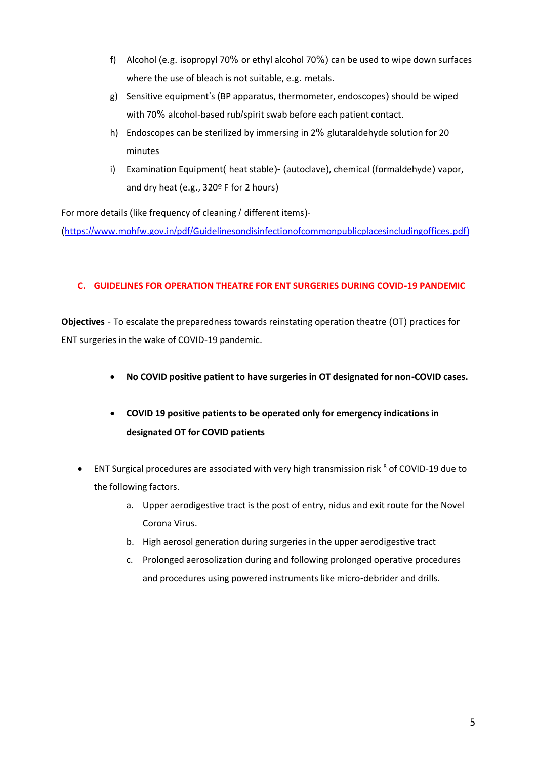- f) Alcohol (e.g. isopropyl 70% or ethyl alcohol 70%) can be used to wipe down surfaces where the use of bleach is not suitable, e.g. metals.
- g) Sensitive equipment's (BP apparatus, thermometer, endoscopes) should be wiped with 70% alcohol-based rub/spirit swab before each patient contact.
- h) Endoscopes can be sterilized by immersing in 2% glutaraldehyde solution for 20 minutes
- i) Examination Equipment( heat stable)- (autoclave), chemical (formaldehyde) vapor, and dry heat (e.g., 320º F for 2 hours)

For more details (like frequency of cleaning / different items)-

(https://www.mohfw.gov.in/pdf/[Guidelinesondisinfectionofcommonpublicplacesincludingoffices](https://www.mohfw.gov.in/pdf/Guidelinesondisinfectionofcommonpublicplacesincludingoffices.pdf)).pdf)

## **C. GUIDELINES FOR OPERATION THEATRE FOR ENT SURGERIES DURING COVID-19 PANDEMIC**

**Objectives** - To escalate the preparedness towards reinstating operation theatre (OT) practices for ENT surgeries in the wake of COVID-19 pandemic.

- **No COVID positive patient to have surgeries in OT designated for non-COVID cases.**
- **COVID 19 positive patients to be operated only for emergency indications in designated OT for COVID patients**
- ENT Surgical procedures are associated with very high transmission risk <sup>8</sup> of COVID-19 due to the following factors.
	- a. Upper aerodigestive tract is the post of entry, nidus and exit route for the Novel Corona Virus.
	- b. High aerosol generation during surgeries in the upper aerodigestive tract
	- c. Prolonged aerosolization during and following prolonged operative procedures and procedures using powered instruments like micro-debrider and drills.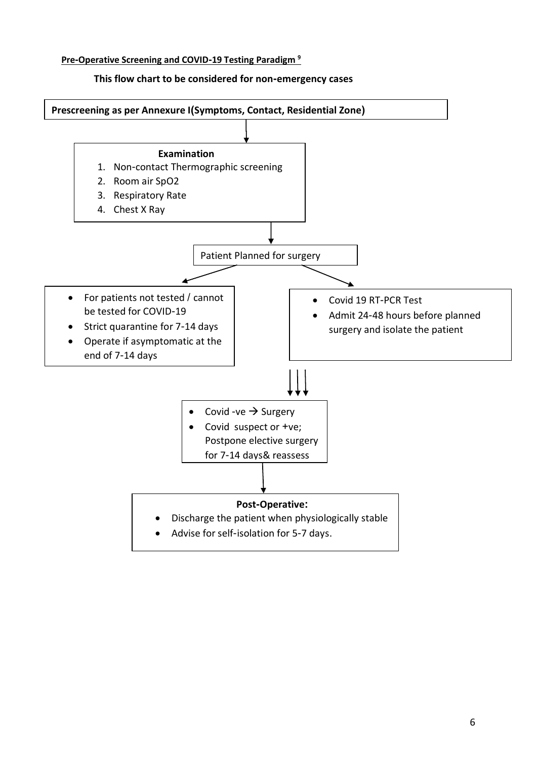#### **Pre-Operative Screening and COVID-19 Testing Paradigm <sup>9</sup>**



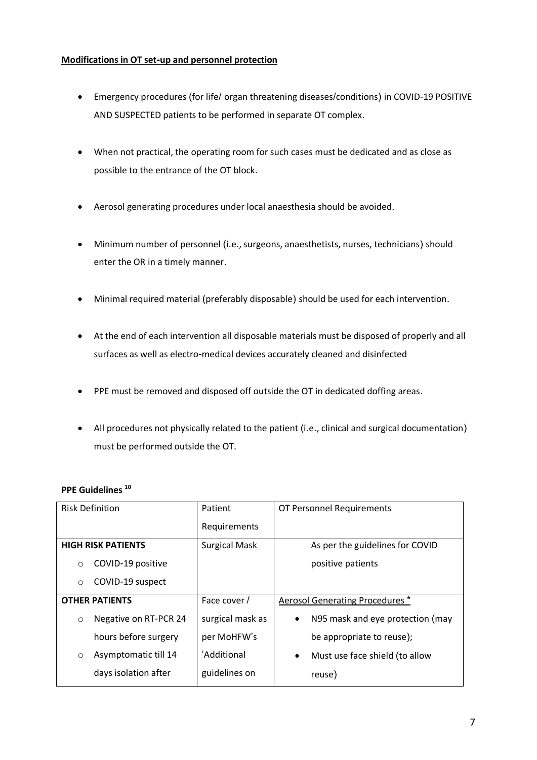#### **Modifications in OT set-up and personnel protection**

- Emergency procedures (for life/ organ threatening diseases/conditions) in COVID-19 POSITIVE AND SUSPECTED patients to be performed in separate OT complex.
- When not practical, the operating room for such cases must be dedicated and as close as possible to the entrance of the OT block.
- Aerosol generating procedures under local anaesthesia should be avoided.
- Minimum number of personnel (i.e., surgeons, anaesthetists, nurses, technicians) should enter the OR in a timely manner.
- Minimal required material (preferably disposable) should be used for each intervention.
- At the end of each intervention all disposable materials must be disposed of properly and all surfaces as well as electro-medical devices accurately cleaned and disinfected
- PPE must be removed and disposed off outside the OT in dedicated doffing areas.
- All procedures not physically related to the patient (i.e., clinical and surgical documentation) must be performed outside the OT.

| PPE Guidelines <sup>10</sup> |  |
|------------------------------|--|
|------------------------------|--|

| <b>Risk Definition</b>           | Patient              | OT Personnel Requirements                     |
|----------------------------------|----------------------|-----------------------------------------------|
|                                  | Requirements         |                                               |
| <b>HIGH RISK PATIENTS</b>        | <b>Surgical Mask</b> | As per the guidelines for COVID               |
| COVID-19 positive<br>$\circ$     |                      | positive patients                             |
| COVID-19 suspect<br>$\circ$      |                      |                                               |
| <b>OTHER PATIENTS</b>            | Face cover /         | Aerosol Generating Procedures *               |
| Negative on RT-PCR 24<br>$\circ$ | surgical mask as     | N95 mask and eye protection (may<br>$\bullet$ |
| hours before surgery             | per MoHFW's          | be appropriate to reuse);                     |
| Asymptomatic till 14<br>$\circ$  | 'Additional          | Must use face shield (to allow<br>$\bullet$   |
| days isolation after             | guidelines on        | reuse)                                        |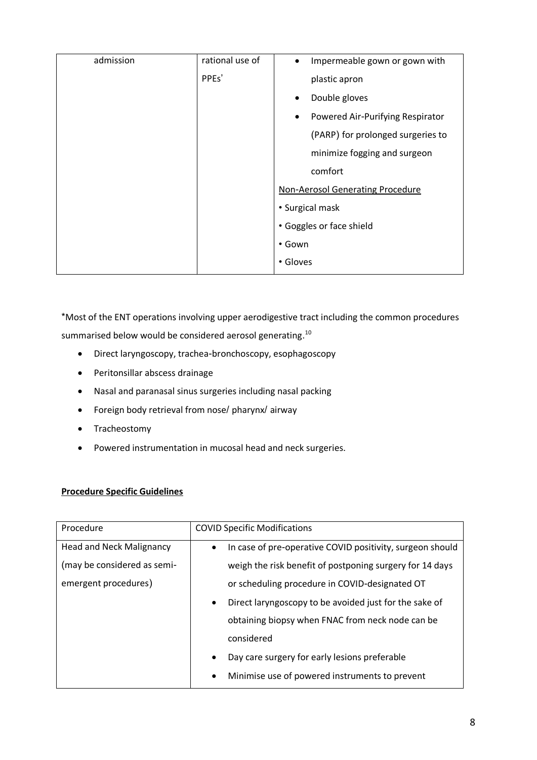| admission | rational use of | Impermeable gown or gown with<br>$\bullet$ |  |
|-----------|-----------------|--------------------------------------------|--|
|           | PPEs'           | plastic apron                              |  |
|           |                 | Double gloves                              |  |
|           |                 | Powered Air-Purifying Respirator           |  |
|           |                 | (PARP) for prolonged surgeries to          |  |
|           |                 | minimize fogging and surgeon               |  |
|           |                 | comfort                                    |  |
|           |                 | Non-Aerosol Generating Procedure           |  |
|           |                 | • Surgical mask                            |  |
|           |                 | • Goggles or face shield                   |  |
|           |                 | • Gown                                     |  |
|           |                 | • Gloves                                   |  |
|           |                 |                                            |  |

\*Most of the ENT operations involving upper aerodigestive tract including the common procedures summarised below would be considered aerosol generating.<sup>10</sup>

- Direct laryngoscopy, trachea-bronchoscopy, esophagoscopy
- Peritonsillar abscess drainage
- Nasal and paranasal sinus surgeries including nasal packing
- Foreign body retrieval from nose/ pharynx/ airway
- Tracheostomy
- Powered instrumentation in mucosal head and neck surgeries.

#### **Procedure Specific Guidelines**

| Procedure                       | <b>COVID Specific Modifications</b>                                    |  |
|---------------------------------|------------------------------------------------------------------------|--|
| <b>Head and Neck Malignancy</b> | In case of pre-operative COVID positivity, surgeon should<br>$\bullet$ |  |
| (may be considered as semi-     | weigh the risk benefit of postponing surgery for 14 days               |  |
| emergent procedures)            | or scheduling procedure in COVID-designated OT                         |  |
|                                 | Direct laryngoscopy to be avoided just for the sake of<br>$\bullet$    |  |
|                                 | obtaining biopsy when FNAC from neck node can be                       |  |
|                                 | considered                                                             |  |
|                                 | Day care surgery for early lesions preferable                          |  |
|                                 | Minimise use of powered instruments to prevent<br>$\bullet$            |  |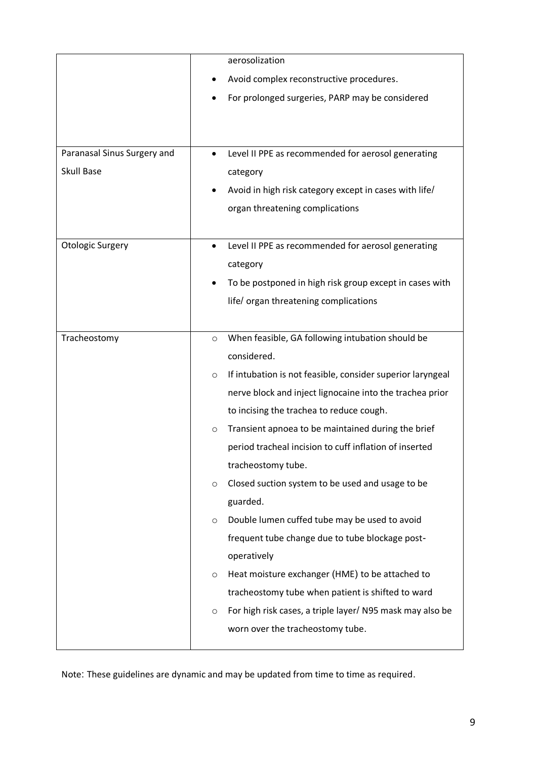|                             | aerosolization                                                        |  |
|-----------------------------|-----------------------------------------------------------------------|--|
|                             | Avoid complex reconstructive procedures.                              |  |
|                             | For prolonged surgeries, PARP may be considered<br>٠                  |  |
|                             |                                                                       |  |
|                             |                                                                       |  |
| Paranasal Sinus Surgery and | Level II PPE as recommended for aerosol generating                    |  |
| <b>Skull Base</b>           | category                                                              |  |
|                             | Avoid in high risk category except in cases with life/                |  |
|                             | organ threatening complications                                       |  |
|                             |                                                                       |  |
| <b>Otologic Surgery</b>     | Level II PPE as recommended for aerosol generating                    |  |
|                             | category                                                              |  |
|                             | To be postponed in high risk group except in cases with               |  |
|                             | life/organ threatening complications                                  |  |
|                             |                                                                       |  |
| Tracheostomy                | When feasible, GA following intubation should be<br>$\circ$           |  |
|                             | considered.                                                           |  |
|                             | If intubation is not feasible, consider superior laryngeal<br>$\circ$ |  |
|                             | nerve block and inject lignocaine into the trachea prior              |  |
|                             | to incising the trachea to reduce cough.                              |  |
|                             | Transient apnoea to be maintained during the brief<br>$\circ$         |  |
|                             | period tracheal incision to cuff inflation of inserted                |  |
|                             | tracheostomy tube.                                                    |  |
|                             | Closed suction system to be used and usage to be<br>$\circ$           |  |
|                             | guarded.                                                              |  |
|                             | Double lumen cuffed tube may be used to avoid<br>$\circ$              |  |
|                             | frequent tube change due to tube blockage post-                       |  |
|                             | operatively                                                           |  |
|                             | Heat moisture exchanger (HME) to be attached to<br>$\circ$            |  |
|                             | tracheostomy tube when patient is shifted to ward                     |  |
|                             | For high risk cases, a triple layer/ N95 mask may also be<br>$\circ$  |  |
|                             | worn over the tracheostomy tube.                                      |  |
|                             |                                                                       |  |

Note: These guidelines are dynamic and may be updated from time to time as required.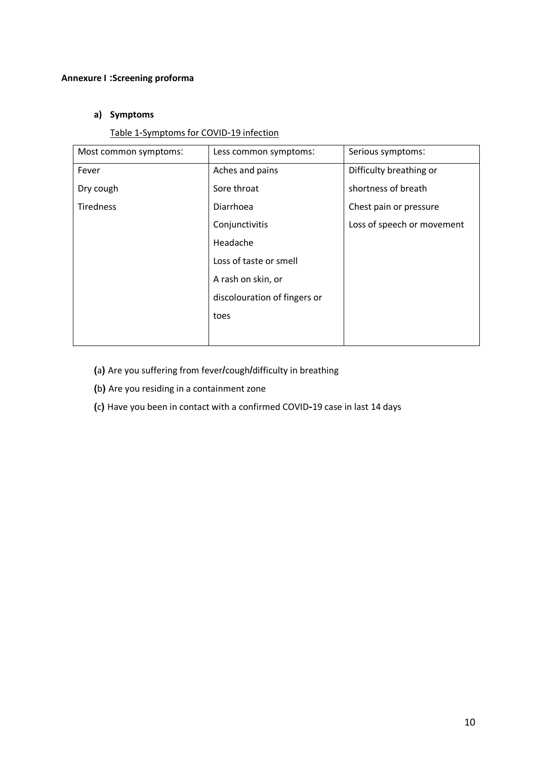#### **Annexure I :Screening proforma**

## **a) Symptoms**

#### Table 1-Symptoms for COVID-19 infection

| Most common symptoms: | Less common symptoms:        | Serious symptoms:          |
|-----------------------|------------------------------|----------------------------|
| Fever                 | Aches and pains              | Difficulty breathing or    |
| Dry cough             | Sore throat                  | shortness of breath        |
| Tiredness             | Diarrhoea                    | Chest pain or pressure     |
|                       | Conjunctivitis               | Loss of speech or movement |
|                       | Headache                     |                            |
|                       | Loss of taste or smell       |                            |
|                       | A rash on skin, or           |                            |
|                       | discolouration of fingers or |                            |
|                       | toes                         |                            |
|                       |                              |                            |

- **(**a**)** Are you suffering from fever**/**cough**/**difficulty in breathing
- **(**b**)** Are you residing in a containment zone
- **(**c**)** Have you been in contact with a confirmed COVID**-**19 case in last 14 days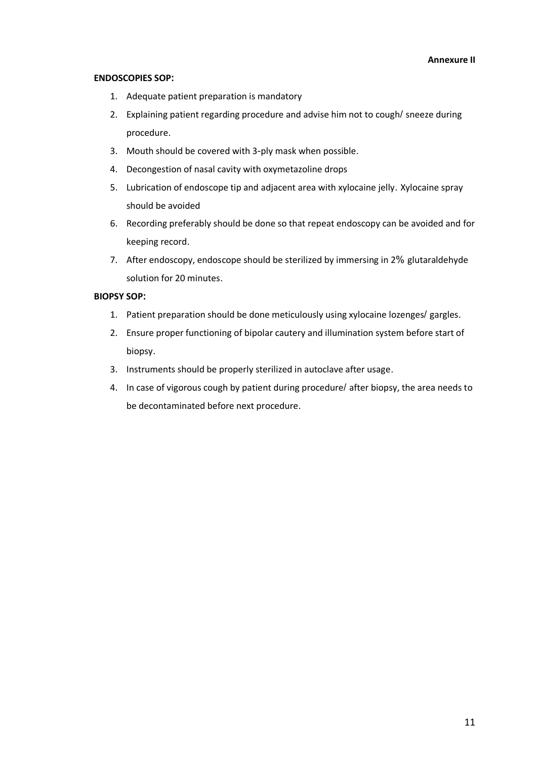#### **ENDOSCOPIES SOP:**

- 1. Adequate patient preparation is mandatory
- 2. Explaining patient regarding procedure and advise him not to cough/ sneeze during procedure.
- 3. Mouth should be covered with 3-ply mask when possible.
- 4. Decongestion of nasal cavity with oxymetazoline drops
- 5. Lubrication of endoscope tip and adjacent area with xylocaine jelly. Xylocaine spray should be avoided
- 6. Recording preferably should be done so that repeat endoscopy can be avoided and for keeping record.
- 7. After endoscopy, endoscope should be sterilized by immersing in 2% glutaraldehyde solution for 20 minutes.

#### **BIOPSY SOP:**

- 1. Patient preparation should be done meticulously using xylocaine lozenges/ gargles.
- 2. Ensure proper functioning of bipolar cautery and illumination system before start of biopsy.
- 3. Instruments should be properly sterilized in autoclave after usage.
- 4. In case of vigorous cough by patient during procedure/ after biopsy, the area needs to be decontaminated before next procedure.